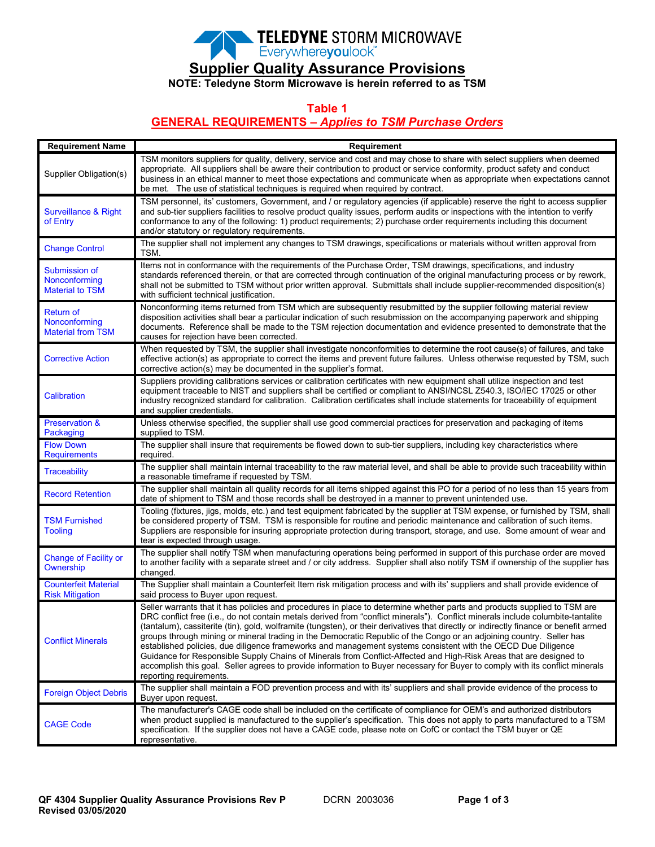

**Supplier Quality Assurance Provisions**

**NOTE: Teledyne Storm Microwave is herein referred to as TSM**

**Table 1**

### **GENERAL REQUIREMENTS –** *Applies to TSM Purchase Orders*

| <b>Requirement Name</b>                                       | Requirement                                                                                                                                                                                                                                                                                                                                                                                                                                                                                                                                                                                                                                                                                                                                                                                                                                                                                                                   |
|---------------------------------------------------------------|-------------------------------------------------------------------------------------------------------------------------------------------------------------------------------------------------------------------------------------------------------------------------------------------------------------------------------------------------------------------------------------------------------------------------------------------------------------------------------------------------------------------------------------------------------------------------------------------------------------------------------------------------------------------------------------------------------------------------------------------------------------------------------------------------------------------------------------------------------------------------------------------------------------------------------|
| Supplier Obligation(s)                                        | TSM monitors suppliers for quality, delivery, service and cost and may chose to share with select suppliers when deemed<br>appropriate. All suppliers shall be aware their contribution to product or service conformity, product safety and conduct<br>business in an ethical manner to meet those expectations and communicate when as appropriate when expectations cannot<br>be met. The use of statistical techniques is required when required by contract.                                                                                                                                                                                                                                                                                                                                                                                                                                                             |
| Surveillance & Right<br>of Entry                              | TSM personnel, its' customers, Government, and / or regulatory agencies (if applicable) reserve the right to access supplier<br>and sub-tier suppliers facilities to resolve product quality issues, perform audits or inspections with the intention to verify<br>conformance to any of the following: 1) product requirements; 2) purchase order requirements including this document<br>and/or statutory or regulatory requirements.                                                                                                                                                                                                                                                                                                                                                                                                                                                                                       |
| <b>Change Control</b>                                         | The supplier shall not implement any changes to TSM drawings, specifications or materials without written approval from<br>TSM.                                                                                                                                                                                                                                                                                                                                                                                                                                                                                                                                                                                                                                                                                                                                                                                               |
| Submission of<br>Nonconforming<br><b>Material to TSM</b>      | Items not in conformance with the requirements of the Purchase Order, TSM drawings, specifications, and industry<br>standards referenced therein, or that are corrected through continuation of the original manufacturing process or by rework,<br>shall not be submitted to TSM without prior written approval. Submittals shall include supplier-recommended disposition(s)<br>with sufficient technical justification.                                                                                                                                                                                                                                                                                                                                                                                                                                                                                                    |
| <b>Return of</b><br>Nonconforming<br><b>Material from TSM</b> | Nonconforming items returned from TSM which are subsequently resubmitted by the supplier following material review<br>disposition activities shall bear a particular indication of such resubmission on the accompanying paperwork and shipping<br>documents. Reference shall be made to the TSM rejection documentation and evidence presented to demonstrate that the<br>causes for rejection have been corrected.                                                                                                                                                                                                                                                                                                                                                                                                                                                                                                          |
| <b>Corrective Action</b>                                      | When requested by TSM, the supplier shall investigate nonconformities to determine the root cause(s) of failures, and take<br>effective action(s) as appropriate to correct the items and prevent future failures. Unless otherwise requested by TSM, such<br>corrective action(s) may be documented in the supplier's format.                                                                                                                                                                                                                                                                                                                                                                                                                                                                                                                                                                                                |
| <b>Calibration</b>                                            | Suppliers providing calibrations services or calibration certificates with new equipment shall utilize inspection and test<br>equipment traceable to NIST and suppliers shall be certified or compliant to ANSI/NCSL Z540.3, ISO/IEC 17025 or other<br>industry recognized standard for calibration. Calibration certificates shall include statements for traceability of equipment<br>and supplier credentials.                                                                                                                                                                                                                                                                                                                                                                                                                                                                                                             |
| <b>Preservation &amp;</b><br>Packaging                        | Unless otherwise specified, the supplier shall use good commercial practices for preservation and packaging of items<br>supplied to TSM.                                                                                                                                                                                                                                                                                                                                                                                                                                                                                                                                                                                                                                                                                                                                                                                      |
| <b>Flow Down</b><br><b>Requirements</b>                       | The supplier shall insure that requirements be flowed down to sub-tier suppliers, including key characteristics where<br>required.                                                                                                                                                                                                                                                                                                                                                                                                                                                                                                                                                                                                                                                                                                                                                                                            |
| <b>Traceability</b>                                           | The supplier shall maintain internal traceability to the raw material level, and shall be able to provide such traceability within<br>a reasonable timeframe if requested by TSM.                                                                                                                                                                                                                                                                                                                                                                                                                                                                                                                                                                                                                                                                                                                                             |
| <b>Record Retention</b>                                       | The supplier shall maintain all quality records for all items shipped against this PO for a period of no less than 15 years from<br>date of shipment to TSM and those records shall be destroyed in a manner to prevent unintended use.                                                                                                                                                                                                                                                                                                                                                                                                                                                                                                                                                                                                                                                                                       |
| <b>TSM Furnished</b><br><b>Tooling</b>                        | Tooling (fixtures, jigs, molds, etc.) and test equipment fabricated by the supplier at TSM expense, or furnished by TSM, shall<br>be considered property of TSM. TSM is responsible for routine and periodic maintenance and calibration of such items.<br>Suppliers are responsible for insuring appropriate protection during transport, storage, and use. Some amount of wear and<br>tear is expected through usage.                                                                                                                                                                                                                                                                                                                                                                                                                                                                                                       |
| <b>Change of Facility or</b><br>Ownership                     | The supplier shall notify TSM when manufacturing operations being performed in support of this purchase order are moved<br>to another facility with a separate street and / or city address. Supplier shall also notify TSM if ownership of the supplier has<br>changed.                                                                                                                                                                                                                                                                                                                                                                                                                                                                                                                                                                                                                                                      |
| <b>Counterfeit Material</b><br><b>Risk Mitigation</b>         | The Supplier shall maintain a Counterfeit Item risk mitigation process and with its' suppliers and shall provide evidence of<br>said process to Buyer upon request.                                                                                                                                                                                                                                                                                                                                                                                                                                                                                                                                                                                                                                                                                                                                                           |
| <b>Conflict Minerals</b>                                      | Seller warrants that it has policies and procedures in place to determine whether parts and products supplied to TSM are<br>DRC conflict free (i.e., do not contain metals derived from "conflict minerals"). Conflict minerals include columbite-tantalite<br>(tantalum), cassiterite (tin), gold, wolframite (tungsten), or their derivatives that directly or indirectly finance or benefit armed<br>groups through mining or mineral trading in the Democratic Republic of the Congo or an adjoining country. Seller has<br>established policies, due diligence frameworks and management systems consistent with the OECD Due Diligence<br>Guidance for Responsible Supply Chains of Minerals from Conflict-Affected and High-Risk Areas that are designed to<br>accomplish this goal. Seller agrees to provide information to Buyer necessary for Buyer to comply with its conflict minerals<br>reporting requirements. |
| <b>Foreign Object Debris</b>                                  | The supplier shall maintain a FOD prevention process and with its' suppliers and shall provide evidence of the process to<br>Buyer upon request.                                                                                                                                                                                                                                                                                                                                                                                                                                                                                                                                                                                                                                                                                                                                                                              |
| <b>CAGE Code</b>                                              | The manufacturer's CAGE code shall be included on the certificate of compliance for OEM's and authorized distributors<br>when product supplied is manufactured to the supplier's specification. This does not apply to parts manufactured to a TSM<br>specification. If the supplier does not have a CAGE code, please note on CofC or contact the TSM buyer or QE<br>representative.                                                                                                                                                                                                                                                                                                                                                                                                                                                                                                                                         |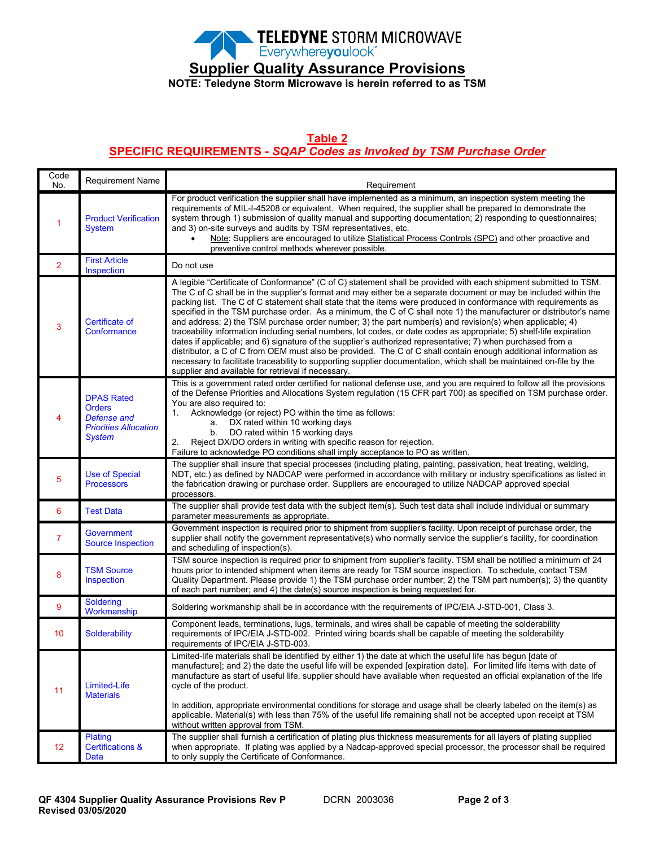

# **Supplier Quality Assurance Provisions**

**NOTE: Teledyne Storm Microwave is herein referred to as TSM**

#### **Table 2**

### **SPECIFIC REQUIREMENTS -** *SQAP Codes as Invoked by TSM Purchase Order*

| Code<br>No.    | Requirement Name                                                                                   | Requirement                                                                                                                                                                                                                                                                                                                                                                                                                                                                                                                                                                                                                                                                                                                                                                                                                                                                                                                                                                                                                                                                                                                      |
|----------------|----------------------------------------------------------------------------------------------------|----------------------------------------------------------------------------------------------------------------------------------------------------------------------------------------------------------------------------------------------------------------------------------------------------------------------------------------------------------------------------------------------------------------------------------------------------------------------------------------------------------------------------------------------------------------------------------------------------------------------------------------------------------------------------------------------------------------------------------------------------------------------------------------------------------------------------------------------------------------------------------------------------------------------------------------------------------------------------------------------------------------------------------------------------------------------------------------------------------------------------------|
| -1             | <b>Product Verification</b><br><b>System</b>                                                       | For product verification the supplier shall have implemented as a minimum, an inspection system meeting the<br>requirements of MIL-I-45208 or equivalent. When required, the supplier shall be prepared to demonstrate the<br>system through 1) submission of quality manual and supporting documentation; 2) responding to questionnaires;<br>and 3) on-site surveys and audits by TSM representatives, etc.<br>Note: Suppliers are encouraged to utilize Statistical Process Controls (SPC) and other proactive and<br>preventive control methods wherever possible.                                                                                                                                                                                                                                                                                                                                                                                                                                                                                                                                                           |
| $\overline{2}$ | <b>First Article</b><br>Inspection                                                                 | Do not use                                                                                                                                                                                                                                                                                                                                                                                                                                                                                                                                                                                                                                                                                                                                                                                                                                                                                                                                                                                                                                                                                                                       |
| 3              | Certificate of<br>Conformance                                                                      | A legible "Certificate of Conformance" (C of C) statement shall be provided with each shipment submitted to TSM.<br>The C of C shall be in the supplier's format and may either be a separate document or may be included within the<br>packing list. The C of C statement shall state that the items were produced in conformance with requirements as<br>specified in the TSM purchase order. As a minimum, the C of C shall note 1) the manufacturer or distributor's name<br>and address; 2) the TSM purchase order number; 3) the part number(s) and revision(s) when applicable; 4)<br>traceability information including serial numbers, lot codes, or date codes as appropriate; 5) shelf-life expiration<br>dates if applicable; and 6) signature of the supplier's authorized representative; 7) when purchased from a<br>distributor, a C of C from OEM must also be provided. The C of C shall contain enough additional information as<br>necessary to facilitate traceability to supporting supplier documentation, which shall be maintained on-file by the<br>supplier and available for retrieval if necessary. |
|                | <b>DPAS Rated</b><br><b>Orders</b><br>Defense and<br><b>Priorities Allocation</b><br><b>System</b> | This is a government rated order certified for national defense use, and you are required to follow all the provisions<br>of the Defense Priorities and Allocations System regulation (15 CFR part 700) as specified on TSM purchase order.<br>You are also required to:<br>Acknowledge (or reject) PO within the time as follows:<br>1.<br>DX rated within 10 working days<br>a.<br>DO rated within 15 working days<br>b.<br>Reject DX/DO orders in writing with specific reason for rejection.<br>2.<br>Failure to acknowledge PO conditions shall imply acceptance to PO as written.                                                                                                                                                                                                                                                                                                                                                                                                                                                                                                                                          |
| 5              | <b>Use of Special</b><br><b>Processors</b>                                                         | The supplier shall insure that special processes (including plating, painting, passivation, heat treating, welding,<br>NDT, etc.) as defined by NADCAP were performed in accordance with military or industry specifications as listed in<br>the fabrication drawing or purchase order. Suppliers are encouraged to utilize NADCAP approved special<br>processors.                                                                                                                                                                                                                                                                                                                                                                                                                                                                                                                                                                                                                                                                                                                                                               |
| 6              | <b>Test Data</b>                                                                                   | The supplier shall provide test data with the subject item(s). Such test data shall include individual or summary<br>parameter measurements as appropriate.                                                                                                                                                                                                                                                                                                                                                                                                                                                                                                                                                                                                                                                                                                                                                                                                                                                                                                                                                                      |
| $\overline{7}$ | <b>Government</b><br><b>Source Inspection</b>                                                      | Government inspection is required prior to shipment from supplier's facility. Upon receipt of purchase order, the<br>supplier shall notify the government representative(s) who normally service the supplier's facility, for coordination<br>and scheduling of inspection(s).                                                                                                                                                                                                                                                                                                                                                                                                                                                                                                                                                                                                                                                                                                                                                                                                                                                   |
| 8              | <b>TSM Source</b><br>Inspection                                                                    | TSM source inspection is required prior to shipment from supplier's facility. TSM shall be notified a minimum of 24<br>hours prior to intended shipment when items are ready for TSM source inspection. To schedule, contact TSM<br>Quality Department. Please provide 1) the TSM purchase order number; 2) the TSM part number(s); 3) the quantity<br>of each part number; and 4) the date(s) source inspection is being requested for.                                                                                                                                                                                                                                                                                                                                                                                                                                                                                                                                                                                                                                                                                         |
| 9              | <b>Soldering</b><br>Workmanship                                                                    | Soldering workmanship shall be in accordance with the requirements of IPC/EIA J-STD-001, Class 3.                                                                                                                                                                                                                                                                                                                                                                                                                                                                                                                                                                                                                                                                                                                                                                                                                                                                                                                                                                                                                                |
| 10             | Solderability                                                                                      | Component leads, terminations, lugs, terminals, and wires shall be capable of meeting the solderability<br>requirements of IPC/EIA J-STD-002. Printed wiring boards shall be capable of meeting the solderability<br>requirements of IPC/EIA J-STD-003.                                                                                                                                                                                                                                                                                                                                                                                                                                                                                                                                                                                                                                                                                                                                                                                                                                                                          |
| 11             | Limited-Life<br><b>Materials</b>                                                                   | Limited-life materials shall be identified by either 1) the date at which the useful life has begun [date of<br>manufacture]; and 2) the date the useful life will be expended [expiration date]. For limited life items with date of<br>manufacture as start of useful life, supplier should have available when requested an official explanation of the life<br>cycle of the product.<br>In addition, appropriate environmental conditions for storage and usage shall be clearly labeled on the item(s) as<br>applicable. Material(s) with less than 75% of the useful life remaining shall not be accepted upon receipt at TSM<br>without written approval from TSM.                                                                                                                                                                                                                                                                                                                                                                                                                                                        |
| 12             | Plating<br><b>Certifications &amp;</b><br>Data                                                     | The supplier shall furnish a certification of plating plus thickness measurements for all layers of plating supplied<br>when appropriate. If plating was applied by a Nadcap-approved special processor, the processor shall be required<br>to only supply the Certificate of Conformance.                                                                                                                                                                                                                                                                                                                                                                                                                                                                                                                                                                                                                                                                                                                                                                                                                                       |